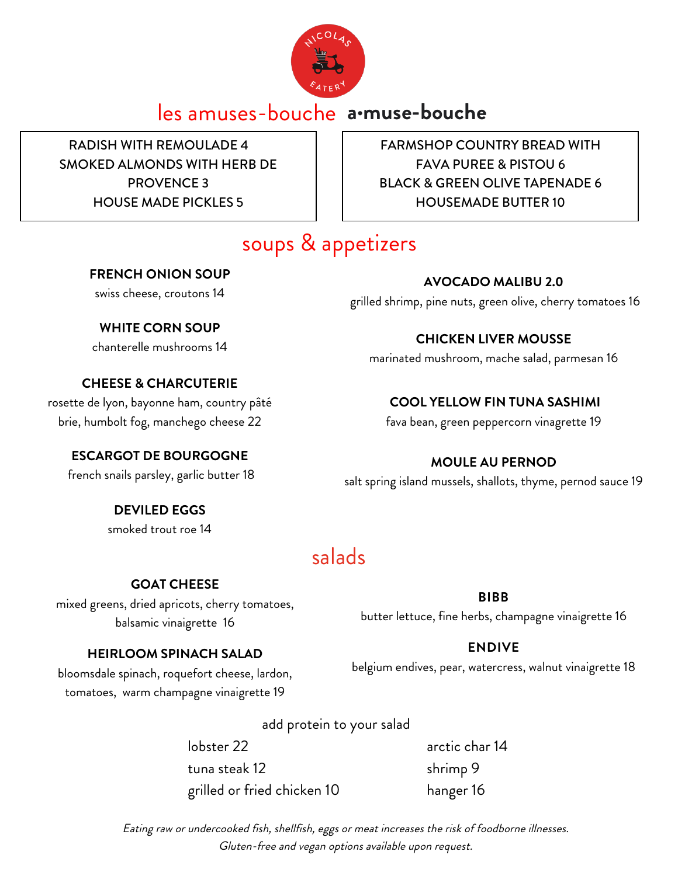

# les amuses-bouche **a·muse-bouche**

RADISH WITH REMOULADE 4 SMOKED ALMONDS WITH HERB DE PROVENCE 3 HOUSE MADE PICKLES 5

FARMSHOP COUNTRY BREAD WITH FAVA PUREE & PISTOU 6 BLACK & GREEN OLIVE TAPENADE 6 HOUSEMADE BUTTER 10

# soups & appetizers

### **FRENCH ONION SOUP**

swiss cheese, croutons 14

### **WHITE CORN SOUP**

chanterelle mushrooms 14

### **CHEESE & CHARCUTERIE**

rosette de lyon, bayonne ham, country pâté brie, humbolt fog, manchego cheese 22

### **ESCARGOT DE BOURGOGNE**

french snails parsley, garlic butter 18

**DEVILED EGGS** smoked trout roe 14

# salads

### **GOAT CHEESE**

mixed greens, dried apricots, cherry tomatoes, balsamic vinaigrette 16

#### **BIBB**

butter lettuce, fine herbs, champagne vinaigrette 16

### **HEIRLOOM SPINACH SALAD**

bloomsdale spinach, roquefort cheese, lardon, tomatoes, warm champagne vinaigrette 19

add protein to your salad

lobster 22 arctic char 14 tuna steak 12 shrimp 9 grilled or fried chicken 10 hanger 16

Eating raw or undercooked fish, shellfish, eggs or meat increases the risk of foodborne illnesses. Gluten-free and vegan options available upon request.

### **ENDIVE**

belgium endives, pear, watercress, walnut vinaigrette 18

**AVOCADO MALIBU 2.0**

grilled shrimp, pine nuts, green olive, cherry tomatoes 16

## **CHICKEN LIVER MOUSSE**

marinated mushroom, mache salad, parmesan 16

### **COOL YELLOW FIN TUNA SASHIMI**

fava bean, green peppercorn vinagrette 19

## **MOULE AU PERNOD**

salt spring island mussels, shallots, thyme, pernod sauce 19